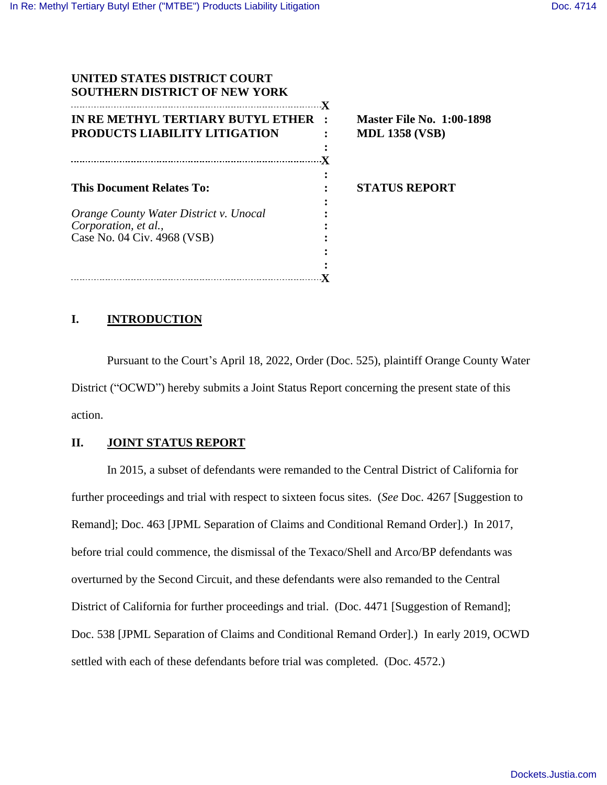| UNITED STATES DISTRICT COURT<br><b>SOUTHERN DISTRICT OF NEW YORK</b> | $\mathbf{X}$                                       |
|----------------------------------------------------------------------|----------------------------------------------------|
| IN RE METHYL TERTIARY BUTYL ETHER                                    | <b>Master File No. 1:00-1898</b><br>$\ddot{\cdot}$ |
| PRODUCTS LIABILITY LITIGATION                                        | <b>MDL 1358 (VSB)</b><br>$\mathbf x$               |
| This Document Relates To:                                            | <b>STATUS REPORT</b>                               |
| Orange County Water District v. Unocal                               |                                                    |
| Corporation, et al.,<br>Case No. 04 Civ. 4968 (VSB)                  |                                                    |
|                                                                      |                                                    |

## **I. INTRODUCTION**

Pursuant to the Court's April 18, 2022, Order (Doc. 525), plaintiff Orange County Water District ("OCWD") hereby submits a Joint Status Report concerning the present state of this action.

## **II. JOINT STATUS REPORT**

In 2015, a subset of defendants were remanded to the Central District of California for further proceedings and trial with respect to sixteen focus sites. (*See* Doc. 4267 [Suggestion to Remand]; Doc. 463 [JPML Separation of Claims and Conditional Remand Order].) In 2017, before trial could commence, the dismissal of the Texaco/Shell and Arco/BP defendants was overturned by the Second Circuit, and these defendants were also remanded to the Central District of California for further proceedings and trial. (Doc. 4471 [Suggestion of Remand]; Doc. 538 [JPML Separation of Claims and Conditional Remand Order].) In early 2019, OCWD settled with each of these defendants before trial was completed. (Doc. 4572.)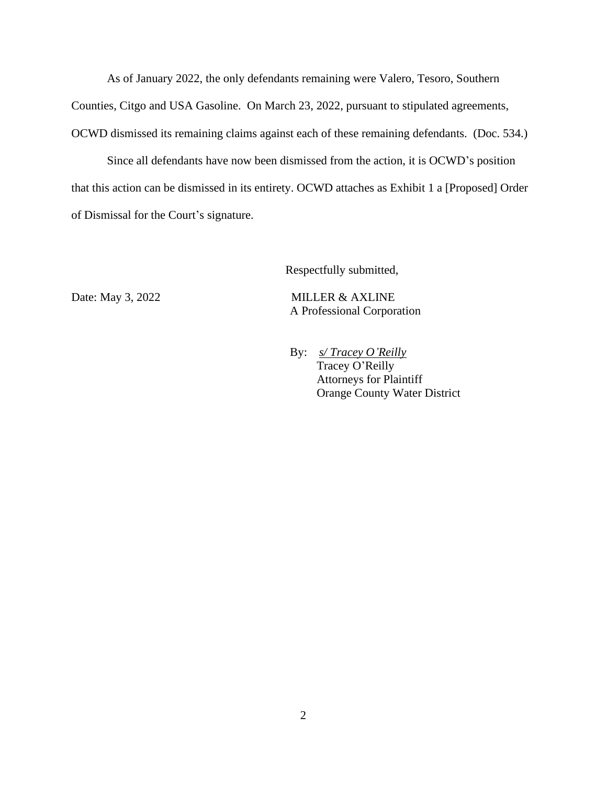As of January 2022, the only defendants remaining were Valero, Tesoro, Southern Counties, Citgo and USA Gasoline. On March 23, 2022, pursuant to stipulated agreements, OCWD dismissed its remaining claims against each of these remaining defendants. (Doc. 534.)

Since all defendants have now been dismissed from the action, it is OCWD's position that this action can be dismissed in its entirety. OCWD attaches as Exhibit 1 a [Proposed] Order of Dismissal for the Court's signature.

Respectfully submitted,

Date: May 3, 2022 MILLER & AXLINE A Professional Corporation

> By: *s/ Tracey O'Reilly* Tracey O'Reilly Attorneys for Plaintiff Orange County Water District